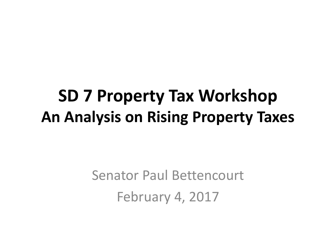# **SD 7 Property Tax Workshop An Analysis on Rising Property Taxes**

Senator Paul Bettencourt February 4, 2017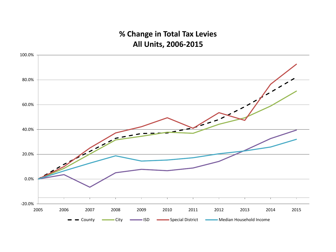### **% Change in Total Tax Levies All Units, 2006-2015**

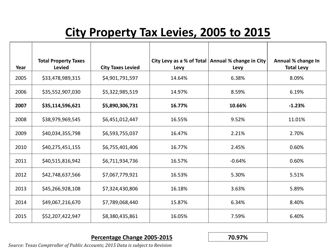## **City Property Tax Levies, 2005 to 2015**

|      | <b>Total Property Taxes</b> |                          |        | City Levy as a % of Total   Annual % change in City | Annual % change In |
|------|-----------------------------|--------------------------|--------|-----------------------------------------------------|--------------------|
| Year | <b>Levied</b>               | <b>City Taxes Levied</b> | Levy   | Levy                                                | <b>Total Levy</b>  |
| 2005 | \$33,478,989,315            | \$4,901,791,597          | 14.64% | 6.38%                                               | 8.09%              |
| 2006 | \$35,552,907,030            | \$5,322,985,519          | 14.97% | 8.59%                                               | 6.19%              |
| 2007 | \$35,114,596,621            | \$5,890,306,731          | 16.77% | 10.66%                                              | $-1.23%$           |
| 2008 | \$38,979,969,545            | \$6,451,012,447          | 16.55% | 9.52%                                               | 11.01%             |
| 2009 | \$40,034,355,798            | \$6,593,755,037          | 16.47% | 2.21%                                               | 2.70%              |
| 2010 | \$40,275,451,155            | \$6,755,401,406          | 16.77% | 2.45%                                               | 0.60%              |
| 2011 | \$40,515,816,942            | \$6,711,934,736          | 16.57% | $-0.64%$                                            | 0.60%              |
| 2012 | \$42,748,637,566            | \$7,067,779,921          | 16.53% | 5.30%                                               | 5.51%              |
| 2013 | \$45,266,928,108            | \$7,324,430,806          | 16.18% | 3.63%                                               | 5.89%              |
| 2014 | \$49,067,216,670            | \$7,789,068,440          | 15.87% | 6.34%                                               | 8.40%              |
| 2015 | \$52,207,422,947            | \$8,380,435,861          | 16.05% | 7.59%                                               | 6.40%              |

#### **Percentage Change 2005-2015 70.97%**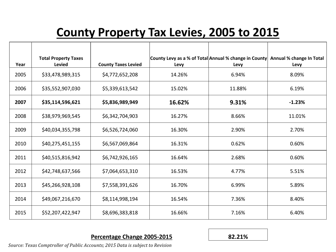## **County Property Tax Levies, 2005 to 2015**

| Year | <b>Total Property Taxes</b><br><b>Levied</b> | <b>County Taxes Levied</b> | Levy   | County Levy as a % of Total Annual % change in County<br>Levy | Annual % change In Total<br>Levy |
|------|----------------------------------------------|----------------------------|--------|---------------------------------------------------------------|----------------------------------|
| 2005 | \$33,478,989,315                             | \$4,772,652,208            | 14.26% | 6.94%                                                         | 8.09%                            |
| 2006 | \$35,552,907,030                             | \$5,339,613,542            | 15.02% | 11.88%                                                        | 6.19%                            |
| 2007 | \$35,114,596,621                             | \$5,836,989,949            | 16.62% | 9.31%                                                         | $-1.23%$                         |
| 2008 | \$38,979,969,545                             | \$6,342,704,903            | 16.27% | 8.66%                                                         | 11.01%                           |
| 2009 | \$40,034,355,798                             | \$6,526,724,060            | 16.30% | 2.90%                                                         | 2.70%                            |
| 2010 | \$40,275,451,155                             | \$6,567,069,864            | 16.31% | 0.62%                                                         | 0.60%                            |
| 2011 | \$40,515,816,942                             | \$6,742,926,165            | 16.64% | 2.68%                                                         | 0.60%                            |
| 2012 | \$42,748,637,566                             | \$7,064,653,310            | 16.53% | 4.77%                                                         | 5.51%                            |
| 2013 | \$45,266,928,108                             | \$7,558,391,626            | 16.70% | 6.99%                                                         | 5.89%                            |
| 2014 | \$49,067,216,670                             | \$8,114,998,194            | 16.54% | 7.36%                                                         | 8.40%                            |
| 2015 | \$52,207,422,947                             | \$8,696,383,818            | 16.66% | 7.16%                                                         | 6.40%                            |

#### **Percentage Change 2005-2015 82.21%**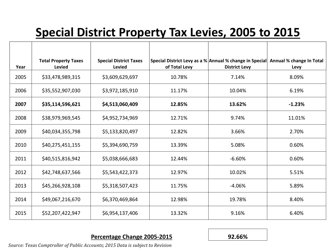## **Special District Property Tax Levies, 2005 to 2015**

| Year | <b>Total Property Taxes</b><br><b>Levied</b> | <b>Special District Taxes</b><br><b>Levied</b> | of Total Levy | Special District Levy as a % Annual % change in Special<br><b>District Levy</b> | Annual % change In Total<br>Levy |
|------|----------------------------------------------|------------------------------------------------|---------------|---------------------------------------------------------------------------------|----------------------------------|
| 2005 | \$33,478,989,315                             | \$3,609,629,697                                | 10.78%        | 7.14%                                                                           | 8.09%                            |
| 2006 | \$35,552,907,030                             | \$3,972,185,910                                | 11.17%        | 10.04%                                                                          | 6.19%                            |
| 2007 | \$35,114,596,621                             | \$4,513,060,409                                | 12.85%        | 13.62%                                                                          | $-1.23%$                         |
| 2008 | \$38,979,969,545                             | \$4,952,734,969                                | 12.71%        | 9.74%                                                                           | 11.01%                           |
| 2009 | \$40,034,355,798                             | \$5,133,820,497                                | 12.82%        | 3.66%                                                                           | 2.70%                            |
| 2010 | \$40,275,451,155                             | \$5,394,690,759                                | 13.39%        | 5.08%                                                                           | 0.60%                            |
| 2011 | \$40,515,816,942                             | \$5,038,666,683                                | 12.44%        | $-6.60%$                                                                        | 0.60%                            |
| 2012 | \$42,748,637,566                             | \$5,543,422,373                                | 12.97%        | 10.02%                                                                          | 5.51%                            |
| 2013 | \$45,266,928,108                             | \$5,318,507,423                                | 11.75%        | $-4.06%$                                                                        | 5.89%                            |
| 2014 | \$49,067,216,670                             | \$6,370,469,864                                | 12.98%        | 19.78%                                                                          | 8.40%                            |
| 2015 | \$52,207,422,947                             | \$6,954,137,406                                | 13.32%        | 9.16%                                                                           | 6.40%                            |

#### **Percentage Change 2005-2015 92.66%**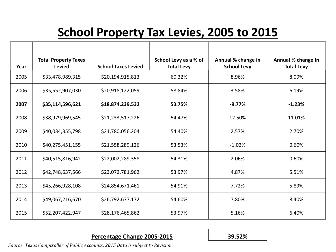## **School Property Tax Levies, 2005 to 2015**

| Year | <b>Total Property Taxes</b><br><b>Levied</b> | <b>School Taxes Levied</b> | School Levy as a % of<br><b>Total Levy</b> | Annual % change in<br><b>School Levy</b> | Annual % change In<br><b>Total Levy</b> |
|------|----------------------------------------------|----------------------------|--------------------------------------------|------------------------------------------|-----------------------------------------|
| 2005 | \$33,478,989,315                             | \$20,194,915,813           | 60.32%                                     | 8.96%                                    | 8.09%                                   |
| 2006 | \$35,552,907,030                             | \$20,918,122,059           | 58.84%                                     | 3.58%                                    | 6.19%                                   |
| 2007 | \$35,114,596,621                             | \$18,874,239,532           | 53.75%                                     | $-9.77%$                                 | $-1.23%$                                |
| 2008 | \$38,979,969,545                             | \$21,233,517,226           | 54.47%                                     | 12.50%                                   | 11.01%                                  |
| 2009 | \$40,034,355,798                             | \$21,780,056,204           | 54.40%                                     | 2.57%                                    | 2.70%                                   |
| 2010 | \$40,275,451,155                             | \$21,558,289,126           | 53.53%                                     | $-1.02%$                                 | 0.60%                                   |
| 2011 | \$40,515,816,942                             | \$22,002,289,358           | 54.31%                                     | 2.06%                                    | 0.60%                                   |
| 2012 | \$42,748,637,566                             | \$23,072,781,962           | 53.97%                                     | 4.87%                                    | 5.51%                                   |
| 2013 | \$45,266,928,108                             | \$24,854,671,461           | 54.91%                                     | 7.72%                                    | 5.89%                                   |
| 2014 | \$49,067,216,670                             | \$26,792,677,172           | 54.60%                                     | 7.80%                                    | 8.40%                                   |
| 2015 | \$52,207,422,947                             | \$28,176,465,862           | 53.97%                                     | 5.16%                                    | 6.40%                                   |

#### **Percentage Change 2005-2015 39.52%**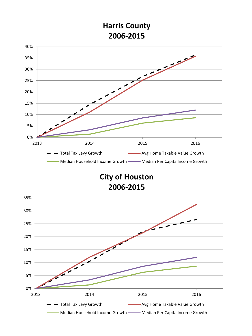### **Harris County 2006-2015**



**City of Houston 2006-2015**

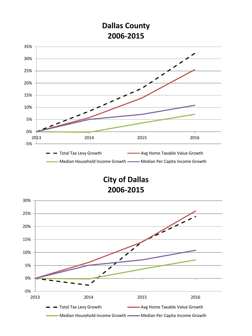### **Dallas County 2006-2015**



**City of Dallas 2006-2015**

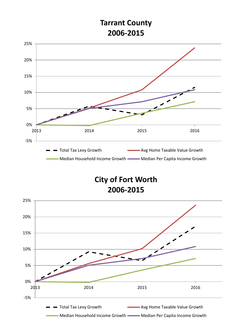### **Tarrant County 2006-2015**



**City of Fort Worth 2006-2015**

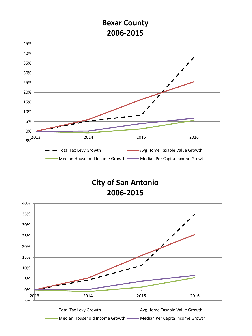### **Bexar County 2006-2015**



**City of San Antonio 2006-2015**